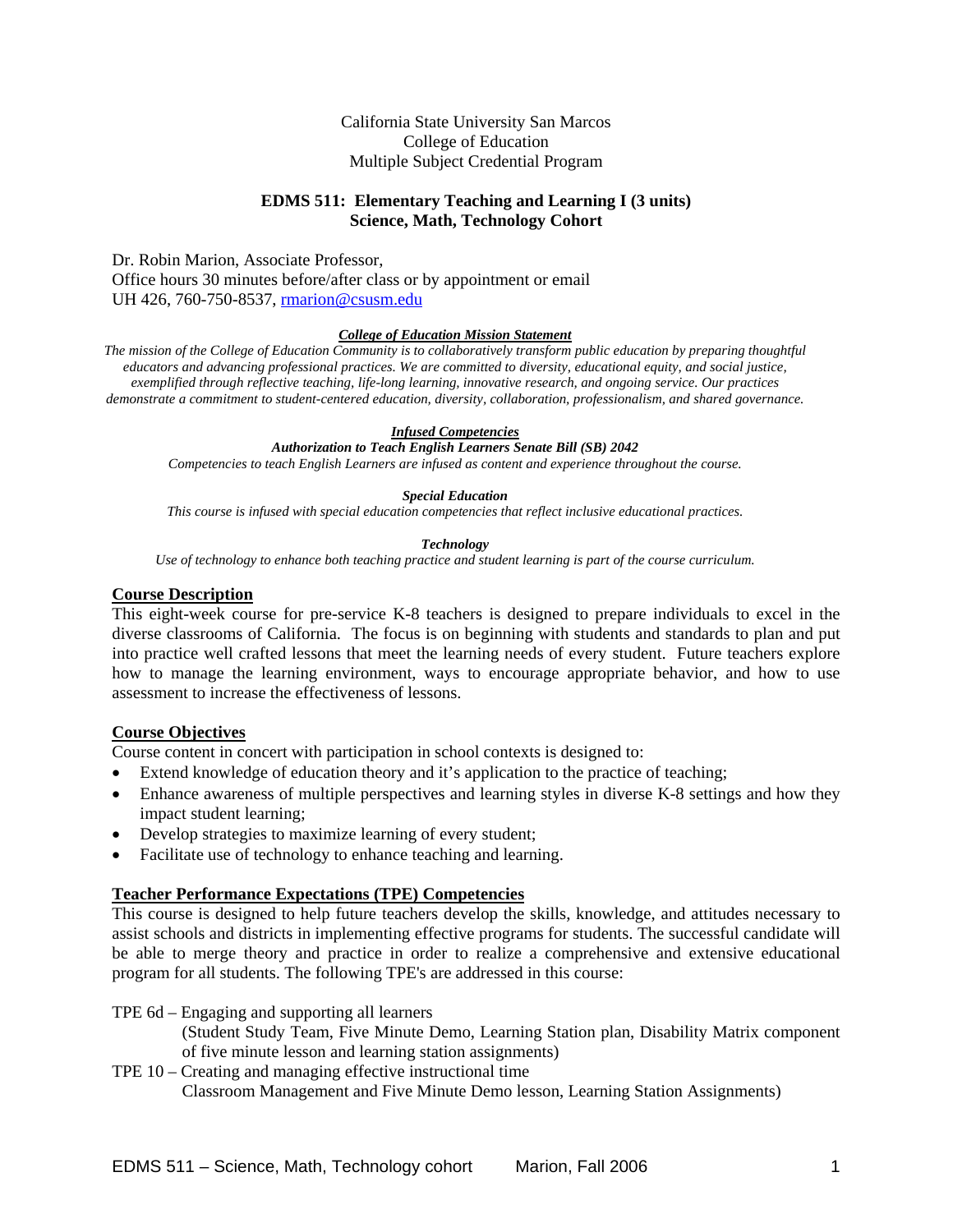### California State University San Marcos College of Education Multiple Subject Credential Program

# **EDMS 511: Elementary Teaching and Learning I (3 units) Science, Math, Technology Cohort**

Dr. Robin Marion, Associate Professor,

Office hours 30 minutes before/after class or by appointment or email UH 426, 760-750-8537, rmarion@csusm.edu

#### *College of Education Mission Statement*

*The mission of the College of Education Community is to collaboratively transform public education by preparing thoughtful educators and advancing professional practices. We are committed to diversity, educational equity, and social justice, exemplified through reflective teaching, life-long learning, innovative research, and ongoing service. Our practices demonstrate a commitment to student-centered education, diversity, collaboration, professionalism, and shared governance.* 

#### *Infused Competencies*

*Authorization to Teach English Learners Senate Bill (SB) 2042* 

*Competencies to teach English Learners are infused as content and experience throughout the course.* 

#### *Special Education*

*This course is infused with special education competencies that reflect inclusive educational practices.* 

#### *Technology*

*Use of technology to enhance both teaching practice and student learning is part of the course curriculum.* 

## **Course Description**

This eight-week course for pre-service K-8 teachers is designed to prepare individuals to excel in the diverse classrooms of California. The focus is on beginning with students and standards to plan and put into practice well crafted lessons that meet the learning needs of every student. Future teachers explore how to manage the learning environment, ways to encourage appropriate behavior, and how to use assessment to increase the effectiveness of lessons.

# **Course Objectives**

Course content in concert with participation in school contexts is designed to:

- Extend knowledge of education theory and it's application to the practice of teaching;
- Enhance awareness of multiple perspectives and learning styles in diverse K-8 settings and how they impact student learning;
- Develop strategies to maximize learning of every student;
- Facilitate use of technology to enhance teaching and learning.

#### **Teacher Performance Expectations (TPE) Competencies**

This course is designed to help future teachers develop the skills, knowledge, and attitudes necessary to assist schools and districts in implementing effective programs for students. The successful candidate will be able to merge theory and practice in order to realize a comprehensive and extensive educational program for all students. The following TPE's are addressed in this course:

TPE 6d – Engaging and supporting all learners

 (Student Study Team, Five Minute Demo, Learning Station plan, Disability Matrix component of five minute lesson and learning station assignments)

TPE 10 – Creating and managing effective instructional time Classroom Management and Five Minute Demo lesson, Learning Station Assignments)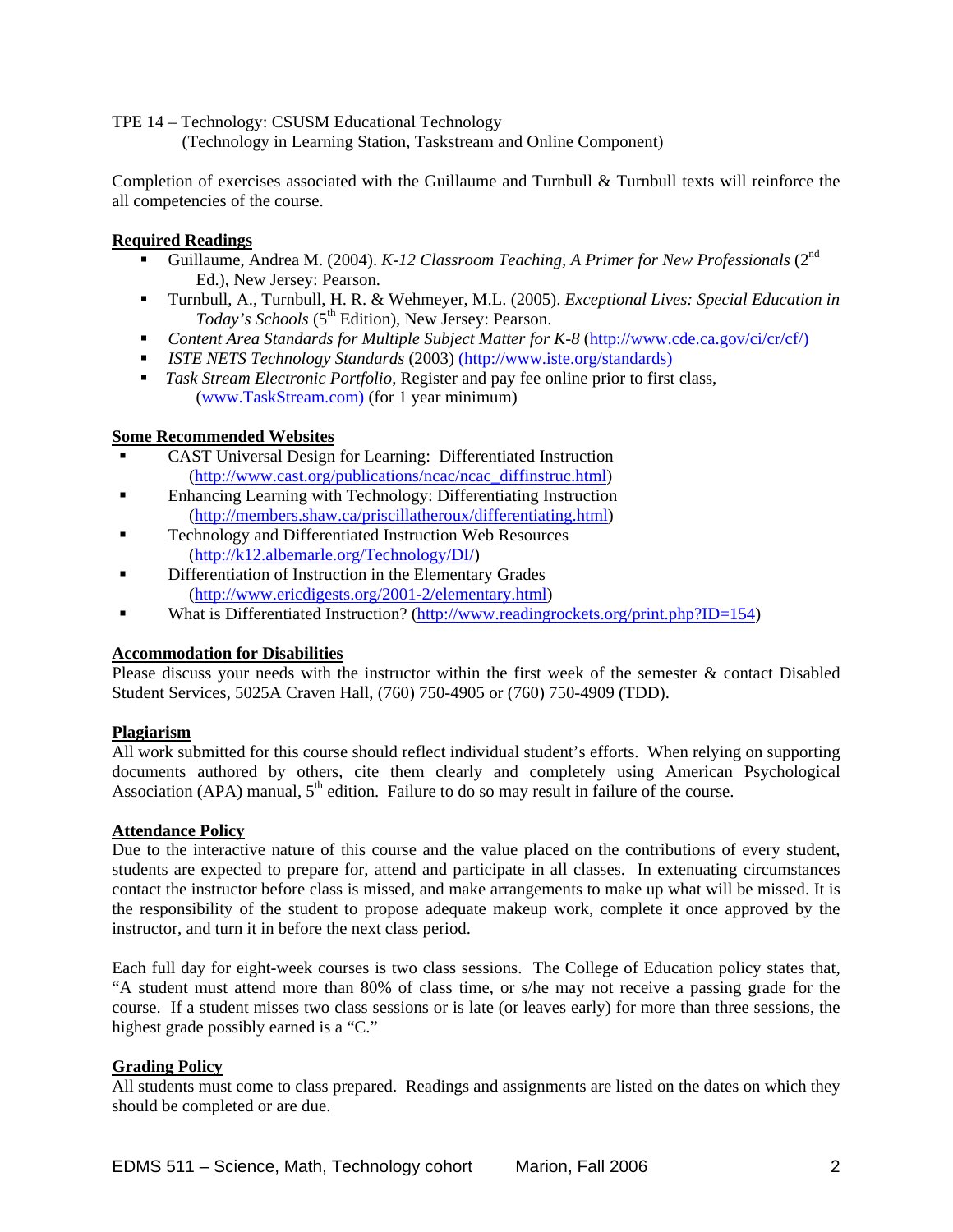## TPE 14 – Technology: CSUSM Educational Technology

(Technology in Learning Station, Taskstream and Online Component)

Completion of exercises associated with the Guillaume and Turnbull & Turnbull texts will reinforce the all competencies of the course.

## **Required Readings**

- Guillaume, Andrea M. (2004). *K-12 Classroom Teaching, A Primer for New Professionals* (2nd Ed.), New Jersey: Pearson.
- Turnbull, A., Turnbull, H. R. & Wehmeyer, M.L. (2005). *Exceptional Lives: Special Education in Today's Schools* (5<sup>th</sup> Edition), New Jersey: Pearson.
- *Content Area Standards for Multiple Subject Matter for K-8* (http://www.cde.ca.gov/ci/cr/cf/)
- *ISTE NETS Technology Standards* (2003) (http://www.iste.org/standards)
- *Task Stream Electronic Portfolio*, Register and pay fee online prior to first class, (www.TaskStream.com) (for 1 year minimum)

# **Some Recommended Websites**

- CAST Universal Design for Learning: Differentiated Instruction (http://www.cast.org/publications/ncac/ncac\_diffinstruc.html)
- Enhancing Learning with Technology: Differentiating Instruction (http://members.shaw.ca/priscillatheroux/differentiating.html)
- Technology and Differentiated Instruction Web Resources (http://k12.albemarle.org/Technology/DI/)
- Differentiation of Instruction in the Elementary Grades (http://www.ericdigests.org/2001-2/elementary.html)
- What is Differentiated Instruction? (http://www.readingrockets.org/print.php?ID=154)

# **Accommodation for Disabilities**

Please discuss your needs with the instructor within the first week of the semester & contact Disabled Student Services, 5025A Craven Hall, (760) 750-4905 or (760) 750-4909 (TDD).

# **Plagiarism**

All work submitted for this course should reflect individual student's efforts. When relying on supporting documents authored by others, cite them clearly and completely using American Psychological Association (APA) manual,  $5<sup>th</sup>$  edition. Failure to do so may result in failure of the course.

# **Attendance Policy**

Due to the interactive nature of this course and the value placed on the contributions of every student, students are expected to prepare for, attend and participate in all classes. In extenuating circumstances contact the instructor before class is missed, and make arrangements to make up what will be missed. It is the responsibility of the student to propose adequate makeup work, complete it once approved by the instructor, and turn it in before the next class period.

Each full day for eight-week courses is two class sessions. The College of Education policy states that, "A student must attend more than 80% of class time, or s/he may not receive a passing grade for the course. If a student misses two class sessions or is late (or leaves early) for more than three sessions, the highest grade possibly earned is a "C."

# **Grading Policy**

All students must come to class prepared. Readings and assignments are listed on the dates on which they should be completed or are due.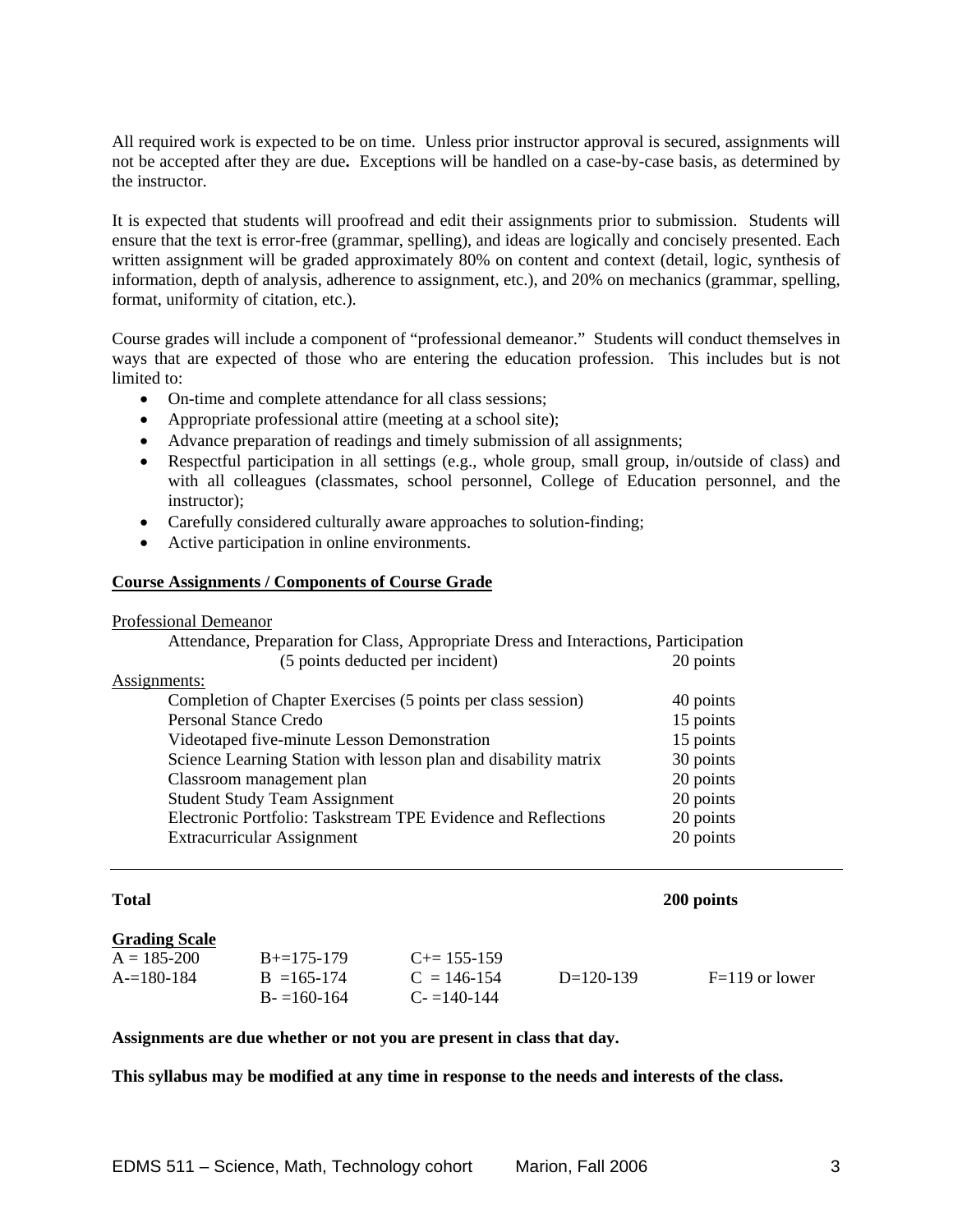All required work is expected to be on time. Unless prior instructor approval is secured, assignments will not be accepted after they are due**.** Exceptions will be handled on a case-by-case basis, as determined by the instructor.

It is expected that students will proofread and edit their assignments prior to submission. Students will ensure that the text is error-free (grammar, spelling), and ideas are logically and concisely presented. Each written assignment will be graded approximately 80% on content and context (detail, logic, synthesis of information, depth of analysis, adherence to assignment, etc.), and 20% on mechanics (grammar, spelling, format, uniformity of citation, etc.).

Course grades will include a component of "professional demeanor." Students will conduct themselves in ways that are expected of those who are entering the education profession. This includes but is not limited to:

- On-time and complete attendance for all class sessions;
- Appropriate professional attire (meeting at a school site);
- Advance preparation of readings and timely submission of all assignments;
- Respectful participation in all settings (e.g., whole group, small group, in/outside of class) and with all colleagues (classmates, school personnel, College of Education personnel, and the instructor);
- Carefully considered culturally aware approaches to solution-finding;
- Active participation in online environments.

## **Course Assignments / Components of Course Grade**

Professional Demeanor

| Attendance, Preparation for Class, Appropriate Dress and Interactions, Participation |           |
|--------------------------------------------------------------------------------------|-----------|
| (5 points deducted per incident)                                                     | 20 points |
| Assignments:                                                                         |           |
| Completion of Chapter Exercises (5 points per class session)                         | 40 points |
| <b>Personal Stance Credo</b>                                                         | 15 points |
| Videotaped five-minute Lesson Demonstration                                          | 15 points |
| Science Learning Station with lesson plan and disability matrix                      | 30 points |
| Classroom management plan                                                            | 20 points |
| <b>Student Study Team Assignment</b>                                                 | 20 points |
| Electronic Portfolio: Taskstream TPE Evidence and Reflections                        | 20 points |
| Extracurricular Assignment                                                           | 20 points |
|                                                                                      |           |

# **Total 200 points**

| Grading Scale |  |
|---------------|--|
|               |  |

| $A = 185 - 200$ | $B = 175 - 179$ | $C_{\pm} = 155 - 159$ |             |                  |
|-----------------|-----------------|-----------------------|-------------|------------------|
| $A = 180 - 184$ | $B = 165 - 174$ | $C = 146 - 154$       | $D=120-139$ | $F=119$ or lower |
|                 | $B = 160-164$   | $C = 140-144$         |             |                  |

#### **Assignments are due whether or not you are present in class that day.**

**This syllabus may be modified at any time in response to the needs and interests of the class.**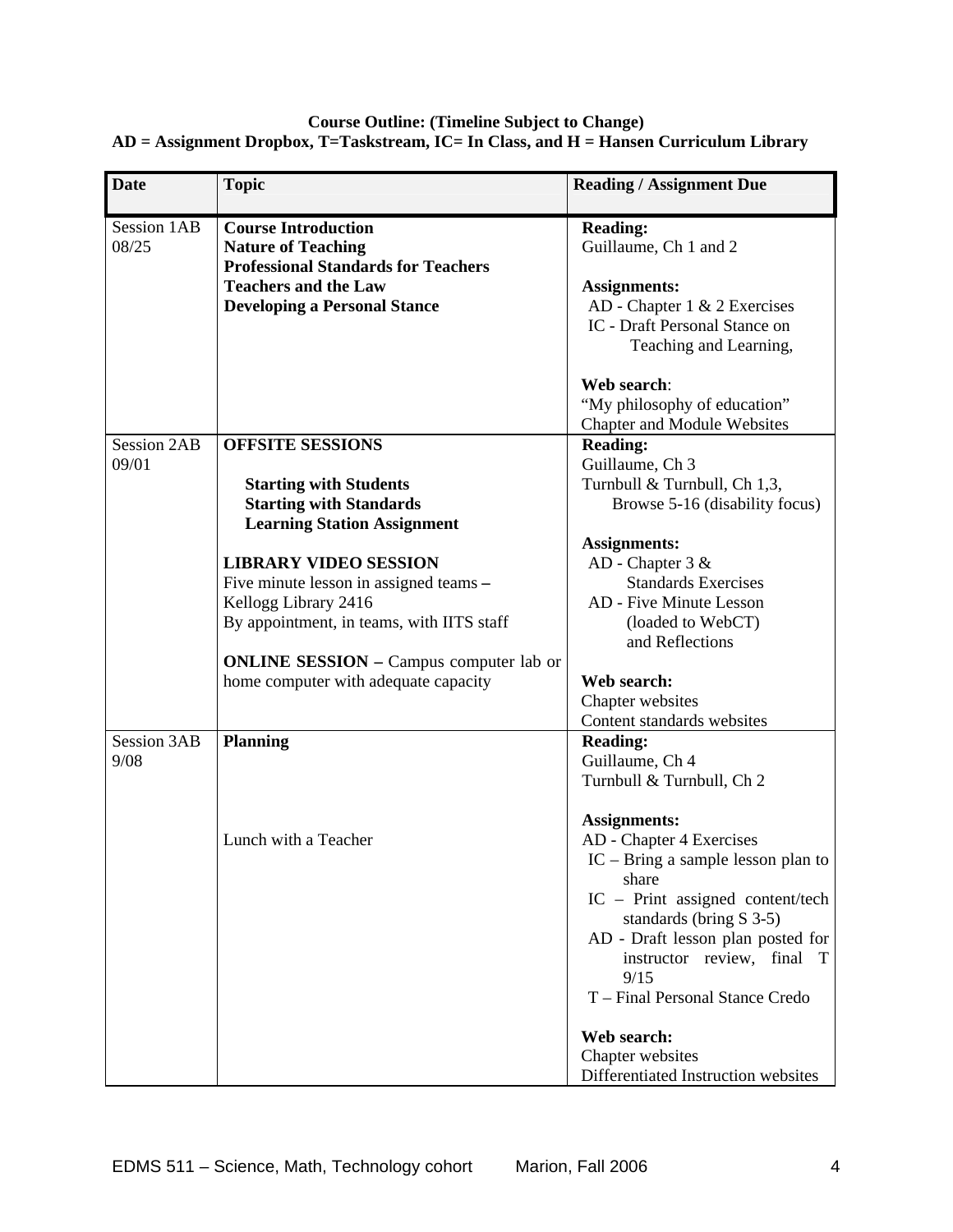## **Course Outline: (Timeline Subject to Change) AD = Assignment Dropbox, T=Taskstream, IC= In Class, and H = Hansen Curriculum Library**

| <b>Date</b>                | <b>Topic</b>                                                            | <b>Reading / Assignment Due</b>              |
|----------------------------|-------------------------------------------------------------------------|----------------------------------------------|
|                            |                                                                         |                                              |
| Session 1AB<br>08/25       | <b>Course Introduction</b>                                              | <b>Reading:</b>                              |
|                            | <b>Nature of Teaching</b><br><b>Professional Standards for Teachers</b> | Guillaume, Ch 1 and 2                        |
|                            | <b>Teachers and the Law</b>                                             | <b>Assignments:</b>                          |
|                            | <b>Developing a Personal Stance</b>                                     | AD - Chapter 1 & 2 Exercises                 |
|                            |                                                                         | IC - Draft Personal Stance on                |
|                            |                                                                         | Teaching and Learning,                       |
|                            |                                                                         |                                              |
|                            |                                                                         | Web search:                                  |
|                            |                                                                         | "My philosophy of education"                 |
|                            |                                                                         | <b>Chapter and Module Websites</b>           |
| <b>Session 2AB</b>         | <b>OFFSITE SESSIONS</b>                                                 | <b>Reading:</b>                              |
| 09/01                      |                                                                         | Guillaume, Ch 3                              |
|                            | <b>Starting with Students</b>                                           | Turnbull & Turnbull, Ch 1,3,                 |
|                            | <b>Starting with Standards</b><br><b>Learning Station Assignment</b>    | Browse 5-16 (disability focus)               |
|                            |                                                                         | <b>Assignments:</b>                          |
|                            | <b>LIBRARY VIDEO SESSION</b>                                            | AD - Chapter 3 &                             |
|                            | Five minute lesson in assigned teams -                                  | <b>Standards Exercises</b>                   |
|                            | Kellogg Library 2416                                                    | AD - Five Minute Lesson                      |
|                            | By appointment, in teams, with IITS staff                               | (loaded to WebCT)                            |
|                            |                                                                         | and Reflections                              |
|                            | <b>ONLINE SESSION</b> – Campus computer lab or                          |                                              |
|                            | home computer with adequate capacity                                    | Web search:                                  |
|                            |                                                                         | Chapter websites                             |
|                            |                                                                         | Content standards websites                   |
| <b>Session 3AB</b><br>9/08 | <b>Planning</b>                                                         | <b>Reading:</b>                              |
|                            |                                                                         | Guillaume, Ch 4<br>Turnbull & Turnbull, Ch 2 |
|                            |                                                                         |                                              |
|                            |                                                                         | <b>Assignments:</b>                          |
|                            | Lunch with a Teacher                                                    | AD - Chapter 4 Exercises                     |
|                            |                                                                         | $IC - Bring$ a sample lesson plan to         |
|                            |                                                                         | share                                        |
|                            |                                                                         | IC – Print assigned content/tech             |
|                            |                                                                         | standards (bring S 3-5)                      |
|                            |                                                                         | AD - Draft lesson plan posted for            |
|                            |                                                                         | instructor review, final T                   |
|                            |                                                                         | 9/15                                         |
|                            |                                                                         | T - Final Personal Stance Credo              |
|                            |                                                                         | Web search:                                  |
|                            |                                                                         | Chapter websites                             |
|                            |                                                                         | Differentiated Instruction websites          |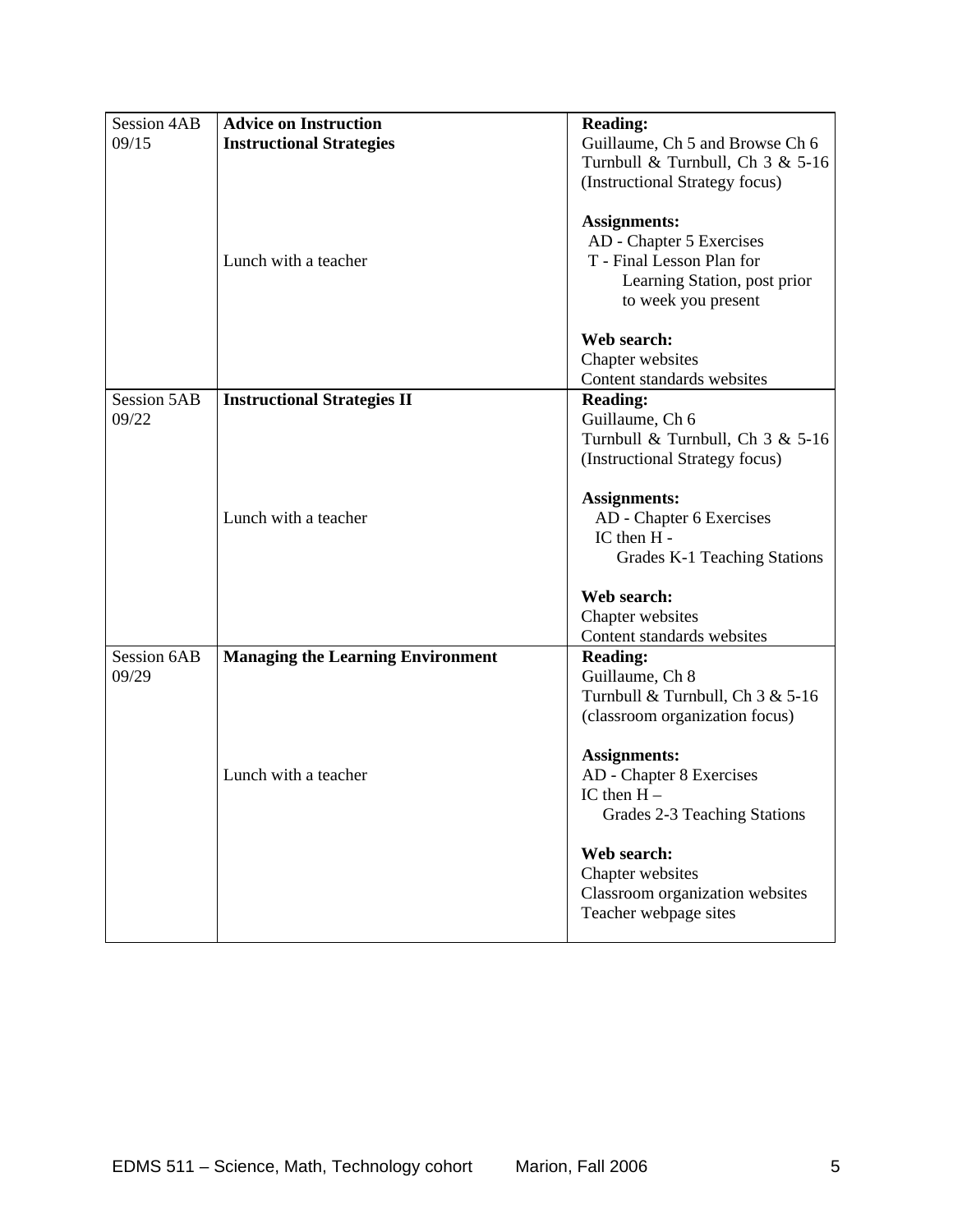| <b>Session 4AB</b> | <b>Advice on Instruction</b>             | <b>Reading:</b>                  |
|--------------------|------------------------------------------|----------------------------------|
| 09/15              | <b>Instructional Strategies</b>          | Guillaume, Ch 5 and Browse Ch 6  |
|                    |                                          | Turnbull & Turnbull, Ch 3 & 5-16 |
|                    |                                          | (Instructional Strategy focus)   |
|                    |                                          |                                  |
|                    |                                          | <b>Assignments:</b>              |
|                    |                                          | AD - Chapter 5 Exercises         |
|                    | Lunch with a teacher                     | T - Final Lesson Plan for        |
|                    |                                          | Learning Station, post prior     |
|                    |                                          | to week you present              |
|                    |                                          | Web search:                      |
|                    |                                          | Chapter websites                 |
|                    |                                          | Content standards websites       |
| <b>Session 5AB</b> | <b>Instructional Strategies II</b>       | <b>Reading:</b>                  |
| 09/22              |                                          | Guillaume, Ch 6                  |
|                    |                                          | Turnbull & Turnbull, Ch 3 & 5-16 |
|                    |                                          | (Instructional Strategy focus)   |
|                    |                                          | <b>Assignments:</b>              |
|                    | Lunch with a teacher                     | AD - Chapter 6 Exercises         |
|                    |                                          | IC then H -                      |
|                    |                                          | Grades K-1 Teaching Stations     |
|                    |                                          | Web search:                      |
|                    |                                          | Chapter websites                 |
|                    |                                          | Content standards websites       |
| <b>Session 6AB</b> | <b>Managing the Learning Environment</b> | <b>Reading:</b>                  |
| 09/29              |                                          | Guillaume, Ch 8                  |
|                    |                                          | Turnbull & Turnbull, Ch 3 & 5-16 |
|                    |                                          | (classroom organization focus)   |
|                    |                                          | <b>Assignments:</b>              |
|                    | Lunch with a teacher                     | AD - Chapter 8 Exercises         |
|                    |                                          | IC then $H -$                    |
|                    |                                          | Grades 2-3 Teaching Stations     |
|                    |                                          | Web search:                      |
|                    |                                          | Chapter websites                 |
|                    |                                          | Classroom organization websites  |
|                    |                                          | Teacher webpage sites            |
|                    |                                          |                                  |